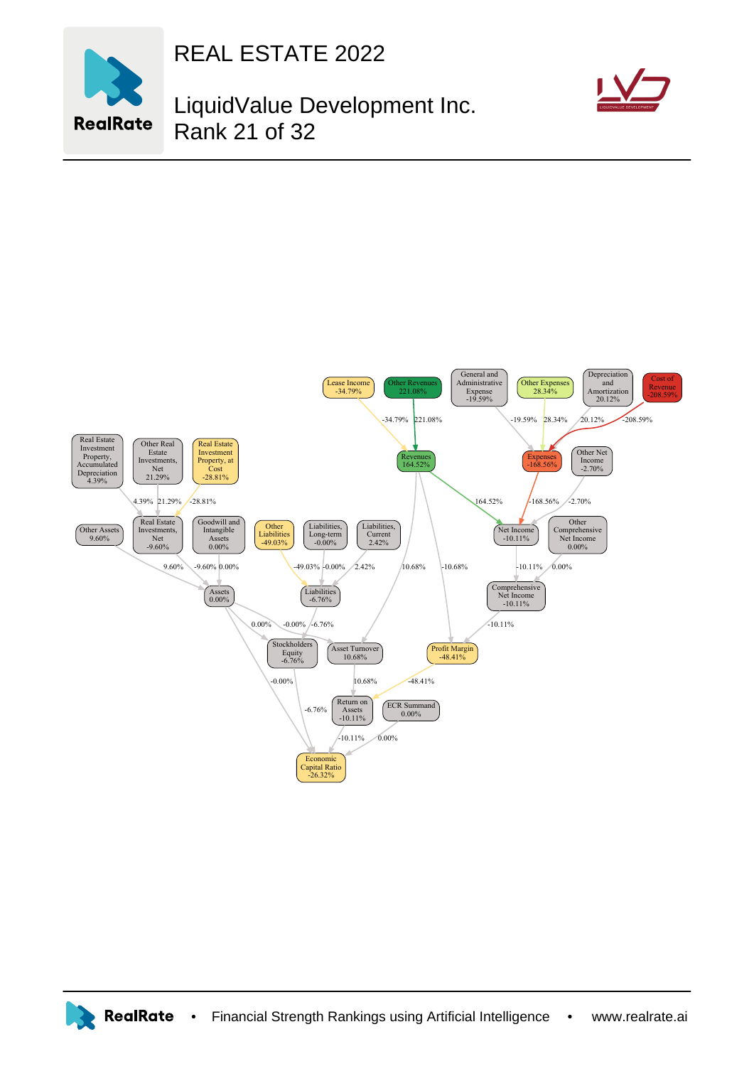

REAL ESTATE 2022

## LiquidValue Development Inc. Rank 21 of 32